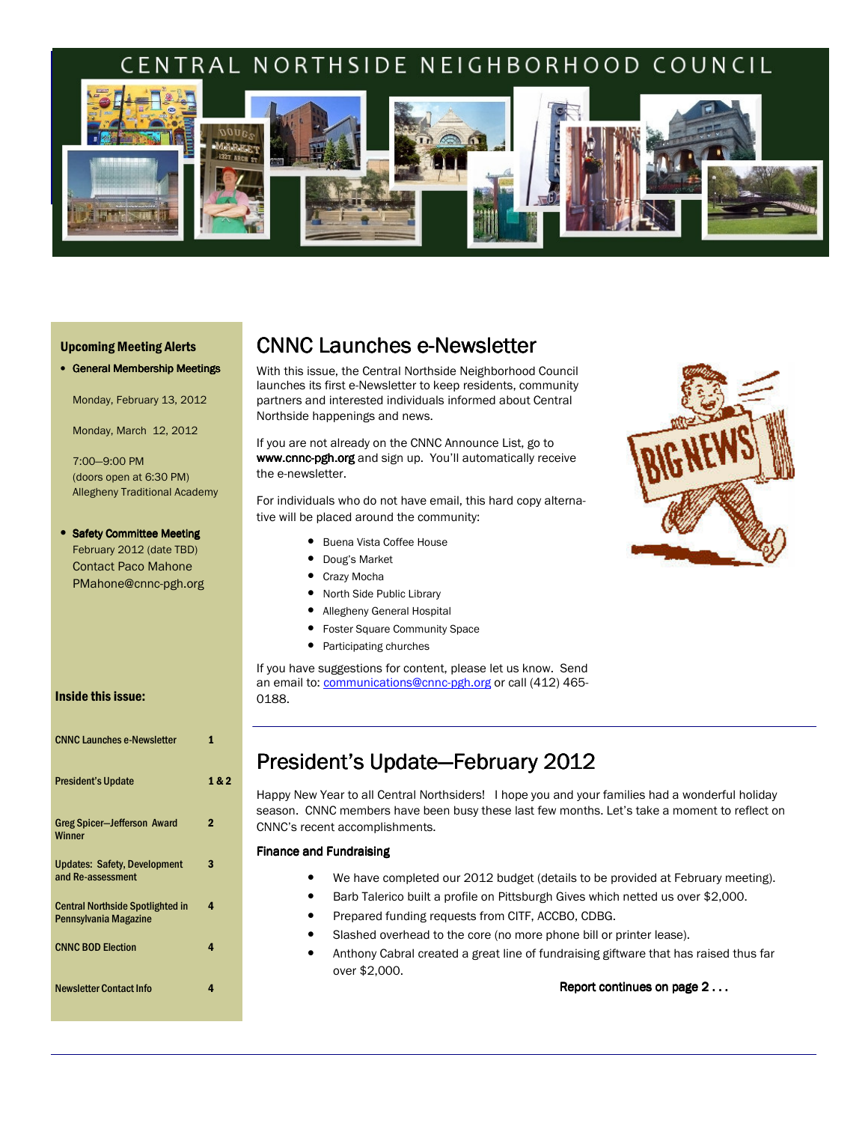# RAL NORTHSIDE NEIGHBORHOOD COUNCIL



#### Upcoming Meeting Alerts

| • General Membership Meetings |  |  |  |  |
|-------------------------------|--|--|--|--|
|-------------------------------|--|--|--|--|

Monday, February 13, 2012

Monday, March 12, 2012

7:00—9:00 PM (doors open at 6:30 PM) Allegheny Traditional Academy

#### • Safety Committee Meeting February 2012 (date TBD) Contact Paco Mahone PMahone@cnnc-pgh.org

#### Inside this issue:

| <b>CNNC Launches e-Newsletter</b>                                | 1     |
|------------------------------------------------------------------|-------|
| <b>President's Update</b>                                        | 1 & 2 |
| <b>Greg Spicer-Jefferson Award</b><br><b>Winner</b>              | 2     |
| <b>Updates: Safety, Development</b><br>and Re-assessment         | 3     |
| <b>Central Northside Spotlighted in</b><br>Pennsylvania Magazine | 4     |
| <b>CNNC BOD Election</b>                                         | 4     |
| <b>Newsletter Contact Info</b>                                   | 4     |

## CNNC Launches e-Newsletter

With this issue, the Central Northside Neighborhood Council launches its first e-Newsletter to keep residents, community partners and interested individuals informed about Central Northside happenings and news.

If you are not already on the CNNC Announce List, go to www.cnnc-pgh.org and sign up. You'll automatically receive the e-newsletter.

For individuals who do not have email, this hard copy alternative will be placed around the community:

- Buena Vista Coffee House
- Doug's Market
- Crazy Mocha
- North Side Public Library
- Allegheny General Hospital
- Foster Square Community Space
- Participating churches

If you have suggestions for content, please let us know. Send an email to: communications@cnnc-pgh.org or call (412) 465-0188.



### President's Update-February 2012

Happy New Year to all Central Northsiders! I hope you and your families had a wonderful holiday season. CNNC members have been busy these last few months. Let's take a moment to reflect on CNNC's recent accomplishments.

#### Finance and Fundraising

- We have completed our 2012 budget (details to be provided at February meeting).
- Barb Talerico built a profile on Pittsburgh Gives which netted us over \$2,000.
- Prepared funding requests from CITF, ACCBO, CDBG.
- Slashed overhead to the core (no more phone bill or printer lease).
- Anthony Cabral created a great line of fundraising giftware that has raised thus far over \$2,000.

Report continues on page 2...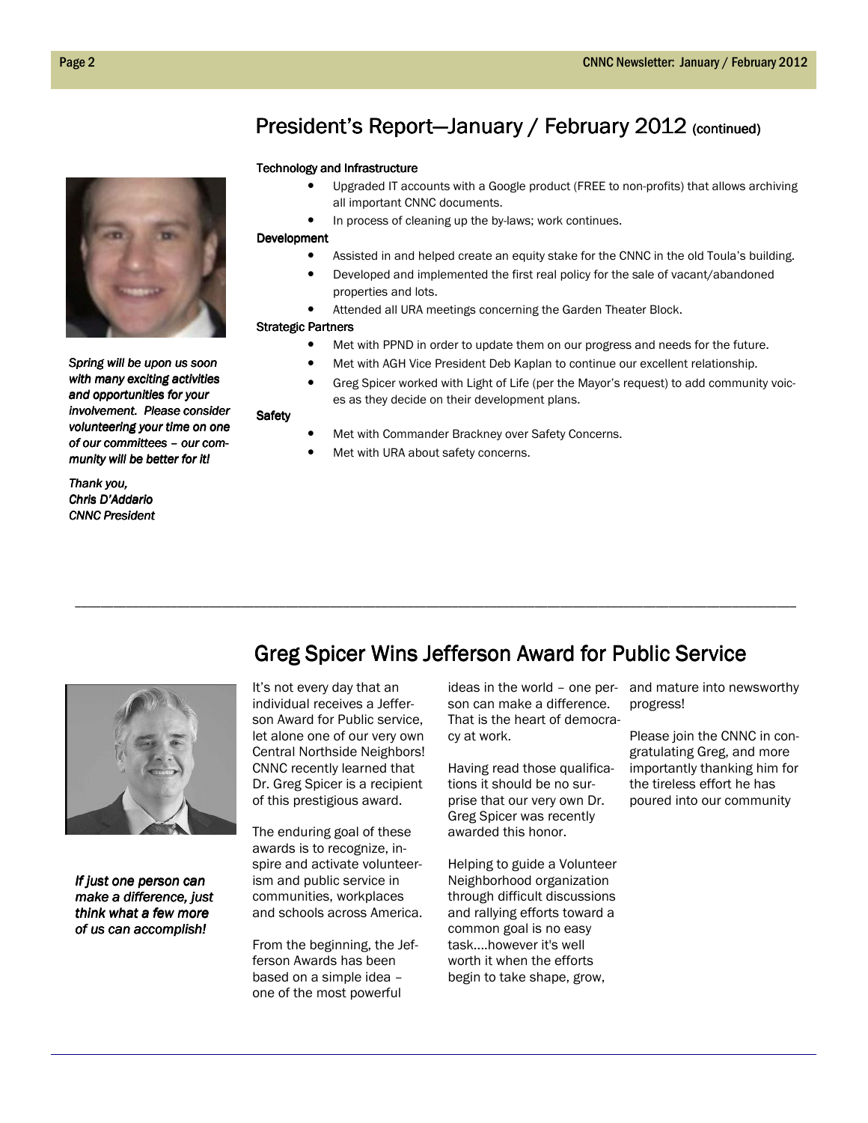### President's Report—January / February 2012 (continued)

#### Technology and Infrastructure

- Upgraded IT accounts with a Google product (FREE to non-profits) that allows archiving all important CNNC documents.
- In process of cleaning up the by-laws; work continues.

#### Development

- Assisted in and helped create an equity stake for the CNNC in the old Toula's building.
- Developed and implemented the first real policy for the sale of vacant/abandoned properties and lots.
- Attended all URA meetings concerning the Garden Theater Block.

#### Strategic Partners

**Safety** 

- Met with PPND in order to update them on our progress and needs for the future.
- Met with AGH Vice President Deb Kaplan to continue our excellent relationship.
- Greg Spicer worked with Light of Life (per the Mayor's request) to add community voices as they decide on their development plans.
- Met with Commander Brackney over Safety Concerns.
- Met with URA about safety concerns.

\_\_\_\_\_\_\_\_\_\_\_\_\_\_\_\_\_\_\_\_\_\_\_\_\_\_\_\_\_\_\_\_\_\_\_\_\_\_\_\_\_\_\_\_\_\_\_\_\_\_\_\_\_\_\_\_\_\_\_\_\_\_\_\_\_\_\_\_\_\_\_\_\_\_\_\_\_\_\_\_\_\_\_\_\_\_\_\_\_\_\_\_\_\_\_\_\_\_\_\_\_\_\_\_\_\_\_\_\_\_\_\_\_



If just one person can make a difference, just think what a few more of us can accomplish!

It's not every day that an individual receives a Jefferson Award for Public service, let alone one of our very own Central Northside Neighbors! CNNC recently learned that Dr. Greg Spicer is a recipient of this prestigious award.

The enduring goal of these awards is to recognize, inspire and activate volunteerism and public service in communities, workplaces and schools across America.

From the beginning, the Jefferson Awards has been based on a simple idea – one of the most powerful

son can make a difference. That is the heart of democracy at work.

Greg Spicer Wins Jefferson Award for Public Service

Having read those qualifications it should be no surprise that our very own Dr. Greg Spicer was recently awarded this honor.

Helping to guide a Volunteer Neighborhood organization through difficult discussions and rallying efforts toward a common goal is no easy task....however it's well worth it when the efforts begin to take shape, grow,

ideas in the world – one per-and mature into newsworthy progress!

> Please join the CNNC in congratulating Greg, and more importantly thanking him for the tireless effort he has poured into our community



Spring will be upon us soon with many exciting activities and opportunities for your involvement. Please consider volunteering your time on one of our committees - our community will be better for it!

Thank you, Chris D'Addario Chris D'Addario **CNNC President**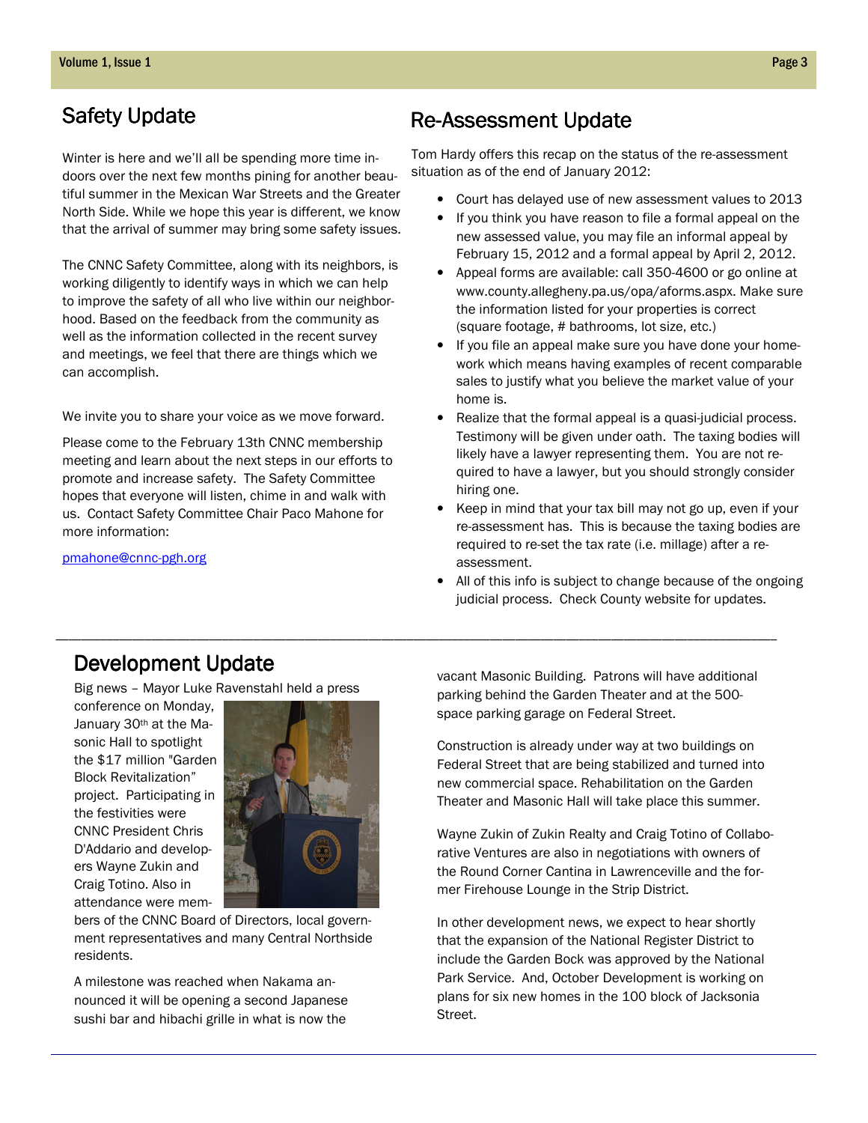Winter is here and we'll all be spending more time indoors over the next few months pining for another beautiful summer in the Mexican War Streets and the Greater North Side. While we hope this year is different, we know that the arrival of summer may bring some safety issues.

The CNNC Safety Committee, along with its neighbors, is working diligently to identify ways in which we can help to improve the safety of all who live within our neighborhood. Based on the feedback from the community as well as the information collected in the recent survey and meetings, we feel that there are things which we can accomplish.

We invite you to share your voice as we move forward.

Please come to the February 13th CNNC membership meeting and learn about the next steps in our efforts to promote and increase safety. The Safety Committee hopes that everyone will listen, chime in and walk with us. Contact Safety Committee Chair Paco Mahone for more information:

#### pmahone@cnnc-pgh.org

# Safety Update **Re-Assessment Update**

Tom Hardy offers this recap on the status of the re-assessment situation as of the end of January 2012:

- Court has delayed use of new assessment values to 2013
- If you think you have reason to file a formal appeal on the new assessed value, you may file an informal appeal by February 15, 2012 and a formal appeal by April 2, 2012.
- Appeal forms are available: call 350-4600 or go online at www.county.allegheny.pa.us/opa/aforms.aspx. Make sure the information listed for your properties is correct (square footage, # bathrooms, lot size, etc.)
- If you file an appeal make sure you have done your homework which means having examples of recent comparable sales to justify what you believe the market value of your home is.
- Realize that the formal appeal is a quasi-judicial process. Testimony will be given under oath. The taxing bodies will likely have a lawyer representing them. You are not required to have a lawyer, but you should strongly consider hiring one.
- Keep in mind that your tax bill may not go up, even if your re-assessment has. This is because the taxing bodies are required to re-set the tax rate (i.e. millage) after a reassessment.
- All of this info is subject to change because of the ongoing judicial process. Check County website for updates.

### Development Update

Big news – Mayor Luke Ravenstahl held a press

conference on Monday, January 30<sup>th</sup> at the Masonic Hall to spotlight the \$17 million "Garden Block Revitalization" project. Participating in the festivities were CNNC President Chris D'Addario and developers Wayne Zukin and Craig Totino. Also in attendance were mem-



\_\_\_\_\_\_\_\_\_\_\_\_\_\_\_\_\_\_\_\_\_\_\_\_\_\_\_\_\_\_\_\_\_\_\_\_\_\_\_\_\_\_\_\_\_\_\_\_\_\_\_\_\_\_\_\_\_\_\_\_\_\_\_\_\_\_\_\_\_\_\_\_\_\_\_\_\_\_\_\_\_\_\_\_\_\_\_\_\_\_\_\_\_\_\_\_\_\_\_\_\_\_\_\_\_\_\_\_\_\_\_\_\_

bers of the CNNC Board of Directors, local government representatives and many Central Northside residents.

A milestone was reached when Nakama announced it will be opening a second Japanese sushi bar and hibachi grille in what is now the

vacant Masonic Building. Patrons will have additional parking behind the Garden Theater and at the 500 space parking garage on Federal Street.

Construction is already under way at two buildings on Federal Street that are being stabilized and turned into new commercial space. Rehabilitation on the Garden Theater and Masonic Hall will take place this summer.

Wayne Zukin of Zukin Realty and Craig Totino of Collaborative Ventures are also in negotiations with owners of the Round Corner Cantina in Lawrenceville and the former Firehouse Lounge in the Strip District.

In other development news, we expect to hear shortly that the expansion of the National Register District to include the Garden Bock was approved by the National Park Service. And, October Development is working on plans for six new homes in the 100 block of Jacksonia Street.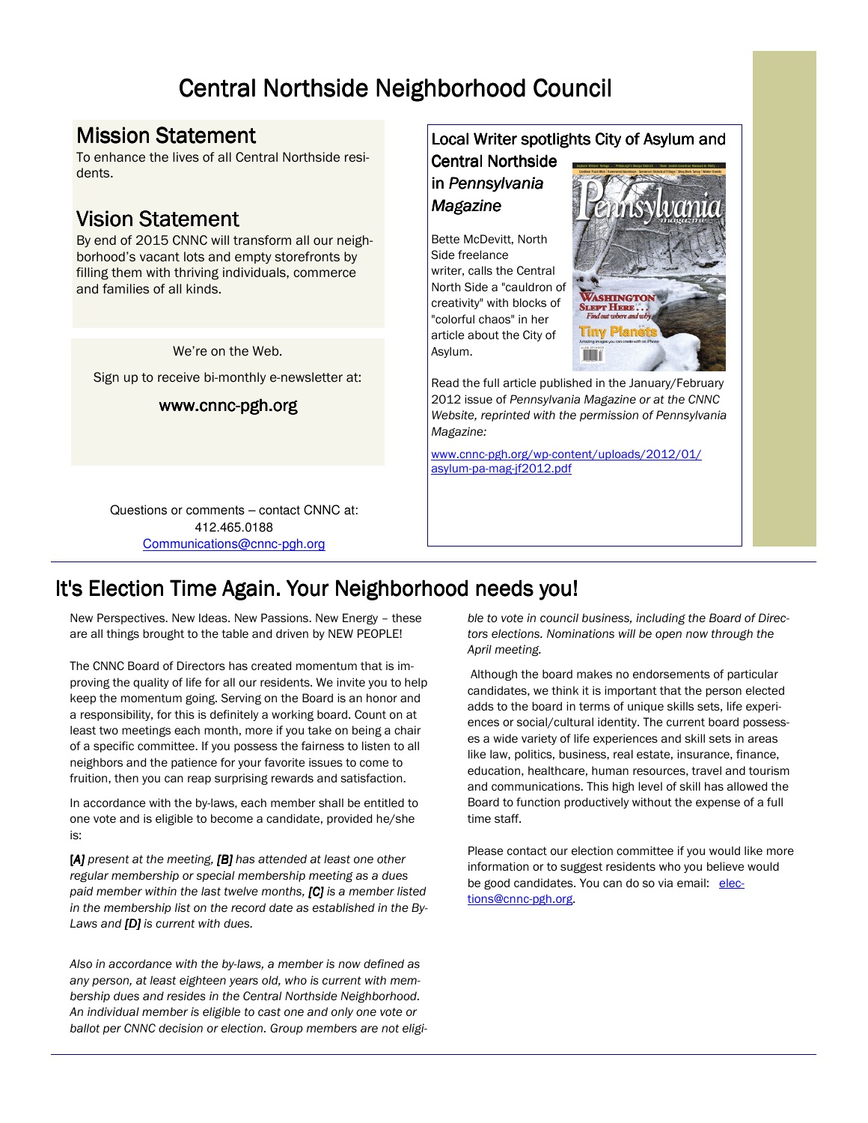# Central Northside Neighborhood Council

### Mission Statement

To enhance the lives of all Central Northside residents.

### **Vision Statement**

By end of 2015 CNNC will transform all our neighborhood's vacant lots and empty storefronts by filling them with thriving individuals, commerce and families of all kinds.

We're on the Web.

Sign up to receive bi-monthly e-newsletter at:

### www.cnnc-pgh.org

Questions or comments – contact CNNC at: 412.465.0188 Communications@cnnc-pgh.org

### It's Election Time Again. Your Neighborhood needs you!

New Perspectives. New Ideas. New Passions. New Energy – these are all things brought to the table and driven by NEW PEOPLE!

The CNNC Board of Directors has created momentum that is improving the quality of life for all our residents. We invite you to help keep the momentum going. Serving on the Board is an honor and a responsibility, for this is definitely a working board. Count on at least two meetings each month, more if you take on being a chair of a specific committee. If you possess the fairness to listen to all neighbors and the patience for your favorite issues to come to fruition, then you can reap surprising rewards and satisfaction.

In accordance with the by-laws, each member shall be entitled to one vote and is eligible to become a candidate, provided he/she is:

 $[A]$  present at the meeting,  $[B]$  has attended at least one other regular membership or special membership meeting as a dues paid member within the last twelve months, [C] is a member listed in the membership list on the record date as established in the By-Laws and  $[D]$  is current with dues.

Also in accordance with the by-laws, a member is now defined as any person, at least eighteen years old, who is current with membership dues and resides in the Central Northside Neighborhood. An individual member is eligible to cast one and only one vote or ballot per CNNC decision or election. Group members are not eligi-

### Local Writer spotlights City of Asylum and

Central Northside in Pennsylvania Magazine

Bette McDevitt, North Side freelance writer, calls the Central North Side a "cauldron of creativity" with blocks of "colorful chaos" in her article about the City of Asylum.



Read the full article published in the January/February 2012 issue of Pennsylvania Magazine or at the CNNC Website, reprinted with the permission of Pennsylvania Magazine:

www.cnnc-pgh.org/wp-content/uploads/2012/01/ asylum-pa-mag-jf2012.pdf

> ble to vote in council business, including the Board of Directors elections. Nominations will be open now through the April meeting.

> Although the board makes no endorsements of particular candidates, we think it is important that the person elected adds to the board in terms of unique skills sets, life experiences or social/cultural identity. The current board possesses a wide variety of life experiences and skill sets in areas like law, politics, business, real estate, insurance, finance, education, healthcare, human resources, travel and tourism and communications. This high level of skill has allowed the Board to function productively without the expense of a full time staff.

> Please contact our election committee if you would like more information or to suggest residents who you believe would be good candidates. You can do so via email: elections@cnnc-pgh.org.